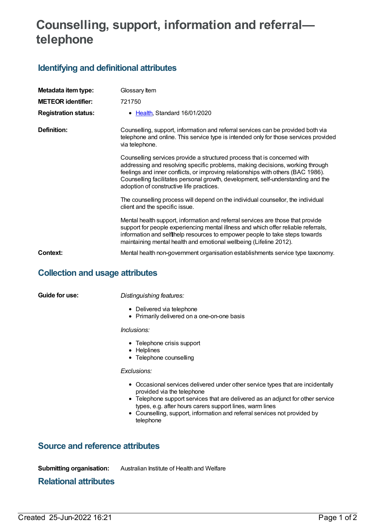# **Counselling, support, information and referral telephone**

# **Identifying and definitional attributes**

| Metadata item type:<br><b>METEOR identifier:</b> | Glossary Item<br>721750                                                                                                                                                                                                                                                                                                                                                       |
|--------------------------------------------------|-------------------------------------------------------------------------------------------------------------------------------------------------------------------------------------------------------------------------------------------------------------------------------------------------------------------------------------------------------------------------------|
| <b>Registration status:</b>                      | Health, Standard 16/01/2020                                                                                                                                                                                                                                                                                                                                                   |
| Definition:                                      | Counselling, support, information and referral services can be provided both via<br>telephone and online. This service type is intended only for those services provided<br>via telephone.                                                                                                                                                                                    |
|                                                  | Counselling services provide a structured process that is concerned with<br>addressing and resolving specific problems, making decisions, working through<br>feelings and inner conflicts, or improving relationships with others (BAC 1986).<br>Counselling facilitates personal growth, development, self-understanding and the<br>adoption of constructive life practices. |
|                                                  | The counselling process will depend on the individual counsellor, the individual<br>client and the specific issue.                                                                                                                                                                                                                                                            |
|                                                  | Mental health support, information and referral services are those that provide<br>support for people experiencing mental illness and which offer reliable referrals,<br>information and selflhelp resources to empower people to take steps towards<br>maintaining mental health and emotional wellbeing (Lifeline 2012).                                                    |
| Context:                                         | Mental health non-government organisation establishments service type taxonomy.                                                                                                                                                                                                                                                                                               |

### **Collection and usage attributes**

**Guide for use:** *Distinguishing features:*

- Delivered via telephone
- Primarily delivered on a one-on-one basis

#### *Inclusions:*

- Telephone crisis support
- Helplines
- Telephone counselling

#### *Exclusions:*

- Occasional services delivered under other service types that are incidentally provided via the telephone
- Telephone support services that are delivered as an adjunct for other service types, e.g. after hours carers support lines, warm lines
- Counselling, support, information and referral services not provided by telephone

### **Source and reference attributes**

**Submitting organisation:** Australian Institute of Health and Welfare

# **Relational attributes**